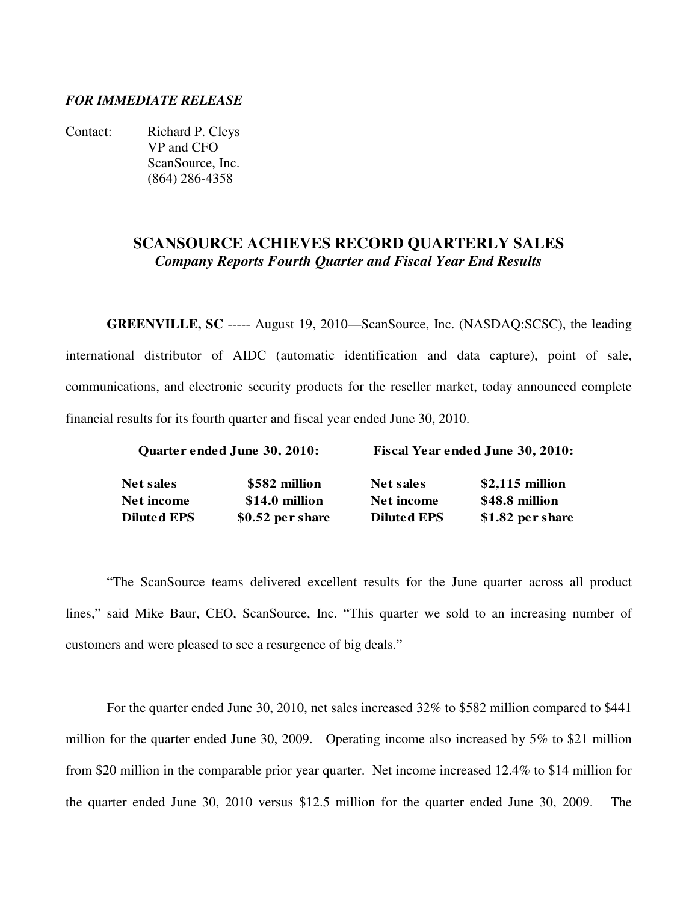### *FOR IMMEDIATE RELEASE*

Contact: Richard P. Cleys VP and CFO ScanSource, Inc. (864) 286-4358

# **SCANSOURCE ACHIEVES RECORD QUARTERLY SALES**  *Company Reports Fourth Quarter and Fiscal Year End Results*

**GREENVILLE, SC** ----- August 19, 2010—ScanSource, Inc. (NASDAQ:SCSC), the leading international distributor of AIDC (automatic identification and data capture), point of sale, communications, and electronic security products for the reseller market, today announced complete financial results for its fourth quarter and fiscal year ended June 30, 2010.

|                   | Quarter ended June 30, 2010: | Fiscal Year ended June 30, 2010: |                  |  |  |  |
|-------------------|------------------------------|----------------------------------|------------------|--|--|--|
| <b>Net sales</b>  | \$582 million                | Net sales                        | $$2,115$ million |  |  |  |
| <b>Net income</b> | \$14.0 million               | Net income                       | \$48.8 million   |  |  |  |
| Diluted EPS       | $$0.52$ per share            | <b>Diluted EPS</b>               | \$1.82 per share |  |  |  |

"The ScanSource teams delivered excellent results for the June quarter across all product lines," said Mike Baur, CEO, ScanSource, Inc. "This quarter we sold to an increasing number of customers and were pleased to see a resurgence of big deals."

For the quarter ended June 30, 2010, net sales increased 32% to \$582 million compared to \$441 million for the quarter ended June 30, 2009. Operating income also increased by 5% to \$21 million from \$20 million in the comparable prior year quarter. Net income increased 12.4% to \$14 million for the quarter ended June 30, 2010 versus \$12.5 million for the quarter ended June 30, 2009. The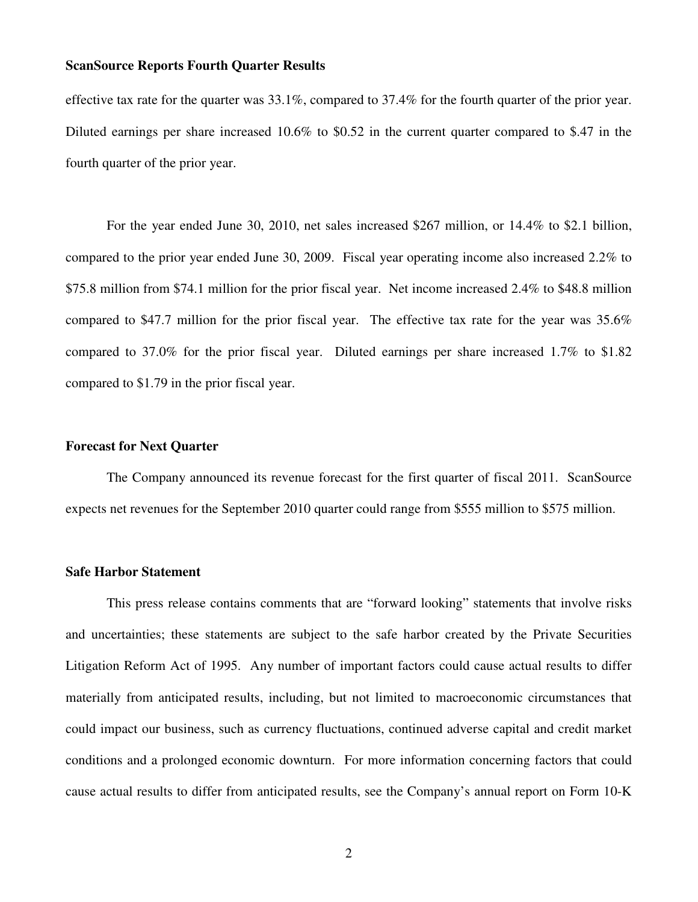effective tax rate for the quarter was 33.1%, compared to 37.4% for the fourth quarter of the prior year. Diluted earnings per share increased 10.6% to \$0.52 in the current quarter compared to \$.47 in the fourth quarter of the prior year.

 For the year ended June 30, 2010, net sales increased \$267 million, or 14.4% to \$2.1 billion, compared to the prior year ended June 30, 2009. Fiscal year operating income also increased 2.2% to \$75.8 million from \$74.1 million for the prior fiscal year. Net income increased 2.4% to \$48.8 million compared to \$47.7 million for the prior fiscal year. The effective tax rate for the year was 35.6% compared to 37.0% for the prior fiscal year. Diluted earnings per share increased 1.7% to \$1.82 compared to \$1.79 in the prior fiscal year.

### **Forecast for Next Quarter**

 The Company announced its revenue forecast for the first quarter of fiscal 2011. ScanSource expects net revenues for the September 2010 quarter could range from \$555 million to \$575 million.

#### **Safe Harbor Statement**

 This press release contains comments that are "forward looking" statements that involve risks and uncertainties; these statements are subject to the safe harbor created by the Private Securities Litigation Reform Act of 1995. Any number of important factors could cause actual results to differ materially from anticipated results, including, but not limited to macroeconomic circumstances that could impact our business, such as currency fluctuations, continued adverse capital and credit market conditions and a prolonged economic downturn. For more information concerning factors that could cause actual results to differ from anticipated results, see the Company's annual report on Form 10-K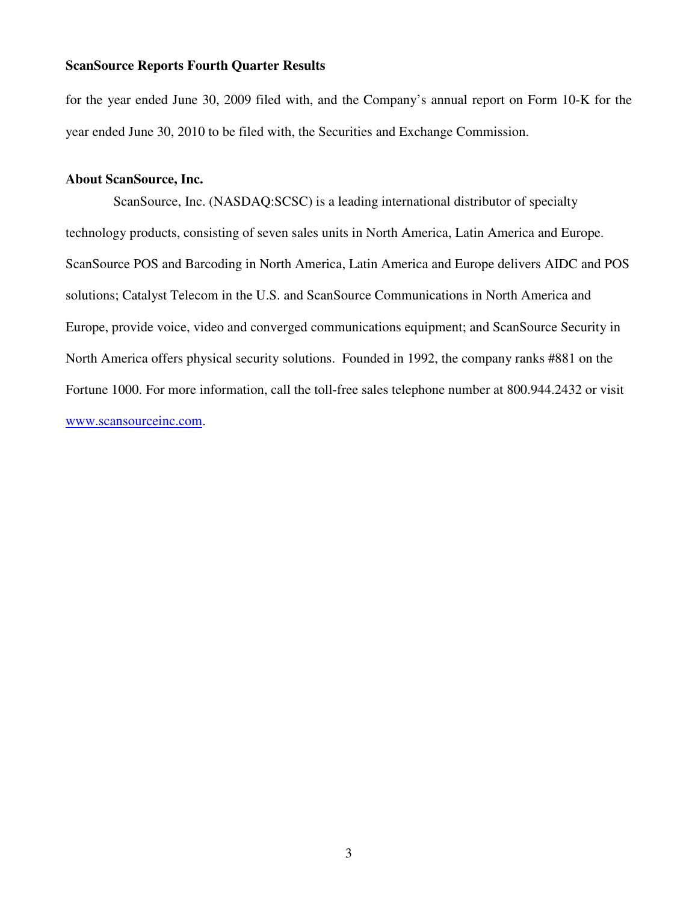for the year ended June 30, 2009 filed with, and the Company's annual report on Form 10-K for the year ended June 30, 2010 to be filed with, the Securities and Exchange Commission.

### **About ScanSource, Inc.**

 ScanSource, Inc. (NASDAQ:SCSC) is a leading international distributor of specialty technology products, consisting of seven sales units in North America, Latin America and Europe. ScanSource POS and Barcoding in North America, Latin America and Europe delivers AIDC and POS solutions; Catalyst Telecom in the U.S. and ScanSource Communications in North America and Europe, provide voice, video and converged communications equipment; and ScanSource Security in North America offers physical security solutions. Founded in 1992, the company ranks #881 on the Fortune 1000. For more information, call the toll-free sales telephone number at 800.944.2432 or visit www.scansourceinc.com.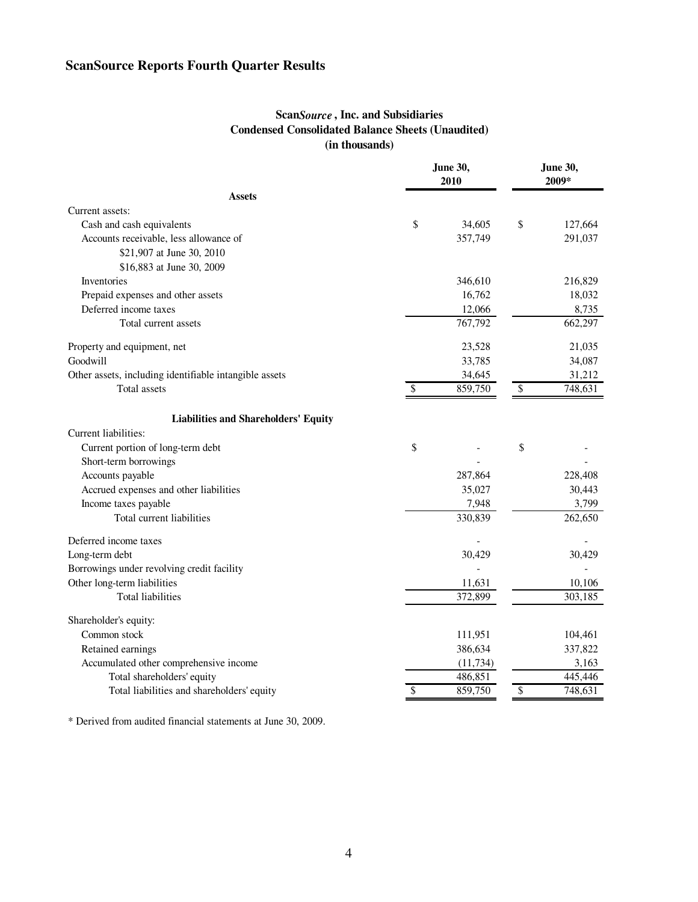## **Scan***Source* **, Inc. and Subsidiaries Condensed Consolidated Balance Sheets (Unaudited) (in thousands)**

|                                                        | <b>June 30,</b><br>2010 |           | <b>June 30,</b><br>2009* |         |
|--------------------------------------------------------|-------------------------|-----------|--------------------------|---------|
| <b>Assets</b>                                          |                         |           |                          |         |
| Current assets:                                        |                         |           |                          |         |
| Cash and cash equivalents                              | \$                      | 34,605    | \$                       | 127,664 |
| Accounts receivable, less allowance of                 |                         | 357,749   |                          | 291,037 |
| \$21,907 at June 30, 2010                              |                         |           |                          |         |
| \$16,883 at June 30, 2009                              |                         |           |                          |         |
| <b>Inventories</b>                                     |                         | 346,610   |                          | 216,829 |
| Prepaid expenses and other assets                      |                         | 16,762    |                          | 18,032  |
| Deferred income taxes                                  |                         | 12,066    |                          | 8,735   |
| Total current assets                                   |                         | 767,792   |                          | 662,297 |
| Property and equipment, net                            |                         | 23,528    |                          | 21,035  |
| Goodwill                                               |                         | 33,785    |                          | 34,087  |
| Other assets, including identifiable intangible assets |                         | 34,645    |                          | 31,212  |
| Total assets                                           | \$                      | 859,750   | $\overline{\mathcal{S}}$ | 748,631 |
| <b>Liabilities and Shareholders' Equity</b>            |                         |           |                          |         |
| Current liabilities:                                   |                         |           |                          |         |
| Current portion of long-term debt                      | \$                      |           | \$                       |         |
| Short-term borrowings                                  |                         |           |                          |         |
| Accounts payable                                       |                         | 287,864   |                          | 228,408 |
| Accrued expenses and other liabilities                 |                         | 35,027    |                          | 30,443  |
| Income taxes payable                                   |                         | 7,948     |                          | 3,799   |
| Total current liabilities                              |                         | 330,839   |                          | 262,650 |
| Deferred income taxes                                  |                         |           |                          |         |
| Long-term debt                                         |                         | 30,429    |                          | 30,429  |
| Borrowings under revolving credit facility             |                         |           |                          |         |
| Other long-term liabilities                            |                         | 11,631    |                          | 10,106  |
| <b>Total liabilities</b>                               |                         | 372,899   |                          | 303,185 |
| Shareholder's equity:                                  |                         |           |                          |         |
| Common stock                                           |                         | 111,951   |                          | 104,461 |
| Retained earnings                                      |                         | 386,634   |                          | 337,822 |
| Accumulated other comprehensive income                 |                         | (11, 734) |                          | 3,163   |
| Total shareholders' equity                             |                         | 486,851   |                          | 445,446 |
| Total liabilities and shareholders' equity             | \$                      | 859,750   | \$                       | 748,631 |

\* Derived from audited financial statements at June 30, 2009.